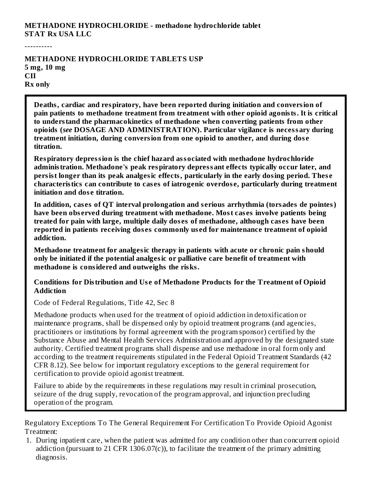### **METHADONE HYDROCHLORIDE - methadone hydrochloride tablet STAT Rx USA LLC**

----------

#### **METHADONE HYDROCHLORIDE TABLETS USP 5 mg, 10 mg CII Rx only**

**Deaths, cardiac and respiratory, have been reported during initiation and conversion of pain patients to methadone treatment from treatment with other opioid agonists. It is critical to understand the pharmacokinetics of methadone when converting patients from other opioids (***see* **DOSAGE AND ADMINISTRATION). Particular vigilance is necessary during treatment initiation, during conversion from one opioid to another, and during dos e titration.**

**Respiratory depression is the chief hazard associated with methadone hydrochloride administration. Methadone's peak respiratory depressant effects typically occur later, and persist longer than its peak analgesic effects, particularly in the early dosing period. Thes e characteristics can contribute to cas es of iatrogenic overdos e, particularly during treatment initiation and dos e titration.**

**In addition, cas es of QT interval prolongation and s erious arrhythmia (torsades de pointes) have been obs erved during treatment with methadone. Most cas es involve patients being treated for pain with large, multiple daily dos es of methadone, although cas es have been reported in patients receiving dos es commonly us ed for maintenance treatment of opioid addiction.**

**Methadone treatment for analgesic therapy in patients with acute or chronic pain should only be initiated if the potential analgesic or palliative care benefit of treatment with methadone is considered and outweighs the risks.**

### **Conditions for Distribution and Us e of Methadone Products for the Treatment of Opioid Addiction**

Code of Federal Regulations, Title 42, Sec 8

Methadone products when used for the treatment of opioid addiction in detoxification or maintenance programs, shall be dispensed only by opioid treatment programs (and agencies, practitioners or institutions by formal agreement with the program sponsor) certified by the Substance Abuse and Mental Health Services Administration and approved by the designated state authority. Certified treatment programs shall dispense and use methadone in oral form only and according to the treatment requirements stipulated in the Federal Opioid Treatment Standards (42 CFR 8.12). See below for important regulatory exceptions to the general requirement for certification to provide opioid agonist treatment.

Failure to abide by the requirements in these regulations may result in criminal prosecution, seizure of the drug supply, revocation of the program approval, and injunction precluding operation of the program.

Regulatory Exceptions To The General Requirement For Certification To Provide Opioid Agonist Treatment:

1. During inpatient care, when the patient was admitted for any condition other than concurrent opioid addiction (pursuant to 21 CFR 1306.07(c)), to facilitate the treatment of the primary admitting diagnosis.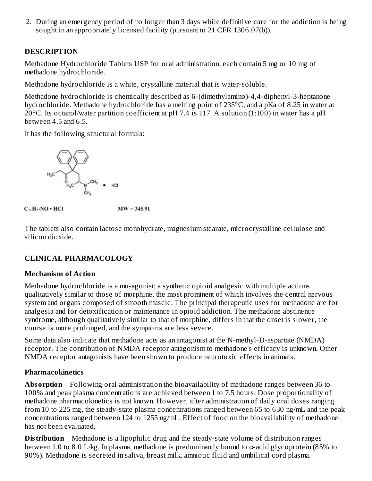2. During an emergency period of no longer than 3 days while definitive care for the addiction is being sought in an appropriately licensed facility (pursuant to 21 CFR 1306.07(b)).

## **DESCRIPTION**

Methadone Hydrochloride Tablets USP for oral administration, each contain 5 mg or 10 mg of methadone hydrochloride.

Methadone hydrochloride is a white, crystalline material that is water-soluble.

Methadone hydrochloride is chemically described as 6-(dimethylamino)-4,4-diphenyl-3-heptanone hydrochloride. Methadone hydrochloride has a melting point of 235°C, and a pKa of 8.25 in water at 20°C. Its octanol/water partition coefficient at pH 7.4 is 117. A solution (1:100) in water has a pH between 4.5 and 6.5.

It has the following structural formula:



 $C_{21}H_{27}NO \cdot HCl$  $MW = 345.91$ 

The tablets also contain lactose monohydrate, magnesium stearate, microcrystalline cellulose and silicon dioxide.

## **CLINICAL PHARMACOLOGY**

### **Mechanism of Action**

Methadone hydrochloride is a mu-agonist; a synthetic opioid analgesic with multiple actions qualitatively similar to those of morphine, the most prominent of which involves the central nervous system and organs composed of smooth muscle. The principal therapeutic uses for methadone are for analgesia and for detoxification or maintenance in opioid addiction. The methadone abstinence syndrome, although qualitatively similar to that of morphine, differs in that the onset is slower, the course is more prolonged, and the symptoms are less severe.

Some data also indicate that methadone acts as an antagonist at the N-methyl-D-aspartate (NMDA) receptor. The contribution of NMDA receptor antagonism to methadone's efficacy is unknown. Other NMDA receptor antagonists have been shown to produce neurotoxic effects in animals.

### **Pharmacokinetics**

**Absorption** – Following oral administration the bioavailability of methadone ranges between 36 to 100% and peak plasma concentrations are achieved between 1 to 7.5 hours. Dose proportionality of methadone pharmacokinetics is not known. However, after administration of daily oral doses ranging from 10 to 225 mg, the steady-state plasma concentrations ranged between 65 to 630 ng/mL and the peak concentrations ranged between 124 to 1255 ng/mL. Effect of food on the bioavailability of methadone has not been evaluated.

**Distribution** – Methadone is a lipophilic drug and the steady-state volume of distribution ranges between 1.0 to 8.0 L/kg. In plasma, methadone is predominantly bound to α-acid glycoprotein (85% to 90%). Methadone is secreted in saliva, breast milk, amniotic fluid and umbilical cord plasma.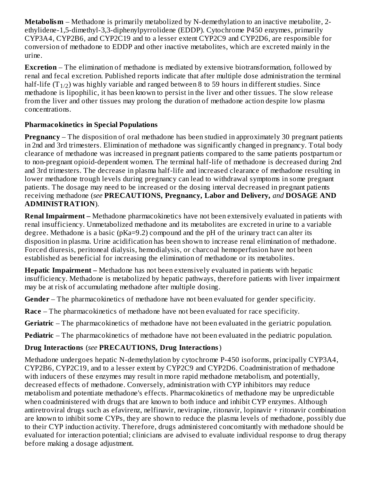**Metabolism** – Methadone is primarily metabolized by N-demethylation to an inactive metabolite, 2 ethylidene-1,5-dimethyl-3,3-diphenylpyrrolidene (EDDP). Cytochrome P450 enzymes, primarily CYP3A4, CYP2B6, and CYP2C19 and to a lesser extent CYP2C9 and CYP2D6, are responsible for conversion of methadone to EDDP and other inactive metabolites, which are excreted mainly in the urine.

**Excretion** – The elimination of methadone is mediated by extensive biotransformation, followed by renal and fecal excretion. Published reports indicate that after multiple dose administration the terminal half-life (T $_{\rm 1/2})$  was highly variable and ranged between 8 to 59 hours in different studies. Since methadone is lipophilic, it has been known to persist in the liver and other tissues. The slow release from the liver and other tissues may prolong the duration of methadone action despite low plasma concentrations.

## **Pharmacokinetics in Special Populations**

**Pregnancy** – The disposition of oral methadone has been studied in approximately 30 pregnant patients in 2nd and 3rd trimesters. Elimination of methadone was significantly changed in pregnancy. Total body clearance of methadone was increased in pregnant patients compared to the same patients postpartum or to non-pregnant opioid-dependent women. The terminal half-life of methadone is decreased during 2nd and 3rd trimesters. The decrease in plasma half-life and increased clearance of methadone resulting in lower methadone trough levels during pregnancy can lead to withdrawal symptoms in some pregnant patients. The dosage may need to be increased or the dosing interval decreased in pregnant patients receiving methadone (*see* **PRECAUTIONS, Pregnancy, Labor and Delivery,** *and* **DOSAGE AND ADMINISTRATION**).

**Renal Impairment –** Methadone pharmacokinetics have not been extensively evaluated in patients with renal insufficiency. Unmetabolized methadone and its metabolites are excreted in urine to a variable degree. Methadone is a basic (pKa=9.2) compound and the pH of the urinary tract can alter its disposition in plasma. Urine acidification has been shown to increase renal elimination of methadone. Forced diuresis, peritoneal dialysis, hemodialysis, or charcoal hemoperfusion have not been established as beneficial for increasing the elimination of methadone or its metabolites.

**Hepatic Impairment –** Methadone has not been extensively evaluated in patients with hepatic insufficiency. Methadone is metabolized by hepatic pathways, therefore patients with liver impairment may be at risk of accumulating methadone after multiple dosing.

Gender – The pharmacokinetics of methadone have not been evaluated for gender specificity.

**Race** – The pharmacokinetics of methadone have not been evaluated for race specificity.

**Geriatric** – The pharmacokinetics of methadone have not been evaluated in the geriatric population.

**Pediatric** – The pharmacokinetics of methadone have not been evaluated in the pediatric population.

## **Drug Interactions** (*see* **PRECAUTIONS, Drug Interactions**)

Methadone undergoes hepatic N-demethylation by cytochrome P-450 isoforms, principally CYP3A4, CYP2B6, CYP2C19, and to a lesser extent by CYP2C9 and CYP2D6. Coadministration of methadone with inducers of these enzymes may result in more rapid methadone metabolism, and potentially, decreased effects of methadone. Conversely, administration with CYP inhibitors may reduce metabolism and potentiate methadone's effects. Pharmacokinetics of methadone may be unpredictable when coadministered with drugs that are known to both induce and inhibit CYP enzymes. Although antiretroviral drugs such as efavirenz, nelfinavir, nevirapine, ritonavir, lopinavir + ritonavir combination are known to inhibit some CYPs, they are shown to reduce the plasma levels of methadone, possibly due to their CYP induction activity. Therefore, drugs administered concomitantly with methadone should be evaluated for interaction potential; clinicians are advised to evaluate individual response to drug therapy before making a dosage adjustment.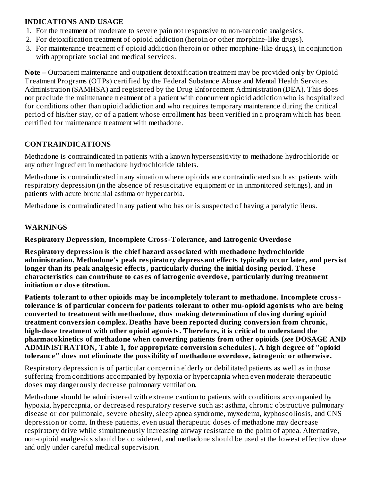### **INDICATIONS AND USAGE**

- 1. For the treatment of moderate to severe pain not responsive to non-narcotic analgesics.
- 2. For detoxification treatment of opioid addiction (heroin or other morphine-like drugs).
- 3. For maintenance treatment of opioid addiction (heroin or other morphine-like drugs), in conjunction with appropriate social and medical services.

**Note –** Outpatient maintenance and outpatient detoxification treatment may be provided only by Opioid Treatment Programs (OTPs) certified by the Federal Substance Abuse and Mental Health Services Administration (SAMHSA) and registered by the Drug Enforcement Administration (DEA). This does not preclude the maintenance treatment of a patient with concurrent opioid addiction who is hospitalized for conditions other than opioid addiction and who requires temporary maintenance during the critical period of his/her stay, or of a patient whose enrollment has been verified in a program which has been certified for maintenance treatment with methadone.

### **CONTRAINDICATIONS**

Methadone is contraindicated in patients with a known hypersensitivity to methadone hydrochloride or any other ingredient in methadone hydrochloride tablets.

Methadone is contraindicated in any situation where opioids are contraindicated such as: patients with respiratory depression (in the absence of resuscitative equipment or in unmonitored settings), and in patients with acute bronchial asthma or hypercarbia.

Methadone is contraindicated in any patient who has or is suspected of having a paralytic ileus.

#### **WARNINGS**

#### **Respiratory Depression, Incomplete Cross-Tolerance, and Iatrogenic Overdos e**

**Respiratory depression is the chief hazard associated with methadone hydrochloride administration. Methadone's peak respiratory depressant effects typically occur later, and persist longer than its peak analgesic effects, particularly during the initial dosing period. Thes e characteristics can contribute to cas es of iatrogenic overdos e, particularly during treatment initiation or dos e titration.**

**Patients tolerant to other opioids may be incompletely tolerant to methadone. Incomplete crosstolerance is of particular concern for patients tolerant to other mu-opioid agonists who are being converted to treatment with methadone, thus making determination of dosing during opioid treatment conversion complex. Deaths have been reported during conversion from chronic, high-dos e treatment with other opioid agonists. Therefore, it is critical to understand the pharmacokinetics of methadone when converting patients from other opioids (***see* **DOSAGE AND ADMINISTRATION, Table 1, for appropriate conversion s chedules). A high degree of "opioid tolerance" does not eliminate the possibility of methadone overdos e, iatrogenic or otherwis e.**

Respiratory depression is of particular concern in elderly or debilitated patients as well as in those suffering from conditions accompanied by hypoxia or hypercapnia when even moderate therapeutic doses may dangerously decrease pulmonary ventilation.

Methadone should be administered with extreme caution to patients with conditions accompanied by hypoxia, hypercapnia, or decreased respiratory reserve such as: asthma, chronic obstructive pulmonary disease or cor pulmonale, severe obesity, sleep apnea syndrome, myxedema, kyphoscoliosis, and CNS depression or coma. In these patients, even usual therapeutic doses of methadone may decrease respiratory drive while simultaneously increasing airway resistance to the point of apnea. Alternative, non-opioid analgesics should be considered, and methadone should be used at the lowest effective dose and only under careful medical supervision.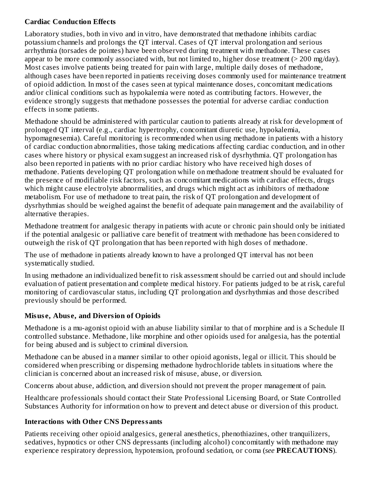## **Cardiac Conduction Effects**

Laboratory studies, both in vivo and in vitro, have demonstrated that methadone inhibits cardiac potassium channels and prolongs the QT interval. Cases of QT interval prolongation and serious arrhythmia (torsades de pointes) have been observed during treatment with methadone. These cases appear to be more commonly associated with, but not limited to, higher dose treatment  $(>200 \text{ mg/day})$ . Most cases involve patients being treated for pain with large, multiple daily doses of methadone, although cases have been reported in patients receiving doses commonly used for maintenance treatment of opioid addiction. In most of the cases seen at typical maintenance doses, concomitant medications and/or clinical conditions such as hypokalemia were noted as contributing factors. However, the evidence strongly suggests that methadone possesses the potential for adverse cardiac conduction effects in some patients.

Methadone should be administered with particular caution to patients already at risk for development of prolonged QT interval (e.g., cardiac hypertrophy, concomitant diuretic use, hypokalemia, hypomagnesemia). Careful monitoring is recommended when using methadone in patients with a history of cardiac conduction abnormalities, those taking medications affecting cardiac conduction, and in other cases where history or physical exam suggest an increased risk of dysrhythmia. QT prolongation has also been reported in patients with no prior cardiac history who have received high doses of methadone. Patients developing QT prolongation while on methadone treatment should be evaluated for the presence of modifiable risk factors, such as concomitant medications with cardiac effects, drugs which might cause electrolyte abnormalities, and drugs which might act as inhibitors of methadone metabolism. For use of methadone to treat pain, the risk of QT prolongation and development of dysrhythmias should be weighed against the benefit of adequate pain management and the availability of alternative therapies.

Methadone treatment for analgesic therapy in patients with acute or chronic pain should only be initiated if the potential analgesic or palliative care benefit of treatment with methadone has been considered to outweigh the risk of QT prolongation that has been reported with high doses of methadone.

The use of methadone in patients already known to have a prolonged QT interval has not been systematically studied.

In using methadone an individualized benefit to risk assessment should be carried out and should include evaluation of patient presentation and complete medical history. For patients judged to be at risk, careful monitoring of cardiovascular status, including QT prolongation and dysrhythmias and those described previously should be performed.

## **Misus e, Abus e, and Diversion of Opioids**

Methadone is a mu-agonist opioid with an abuse liability similar to that of morphine and is a Schedule II controlled substance. Methadone, like morphine and other opioids used for analgesia, has the potential for being abused and is subject to criminal diversion.

Methadone can be abused in a manner similar to other opioid agonists, legal or illicit. This should be considered when prescribing or dispensing methadone hydrochloride tablets in situations where the clinician is concerned about an increased risk of misuse, abuse, or diversion.

Concerns about abuse, addiction, and diversion should not prevent the proper management of pain.

Healthcare professionals should contact their State Professional Licensing Board, or State Controlled Substances Authority for information on how to prevent and detect abuse or diversion of this product.

### **Interactions with Other CNS Depressants**

Patients receiving other opioid analgesics, general anesthetics, phenothiazines, other tranquilizers, sedatives, hypnotics or other CNS depressants (including alcohol) concomitantly with methadone may experience respiratory depression, hypotension, profound sedation, or coma (*see* **PRECAUTIONS**).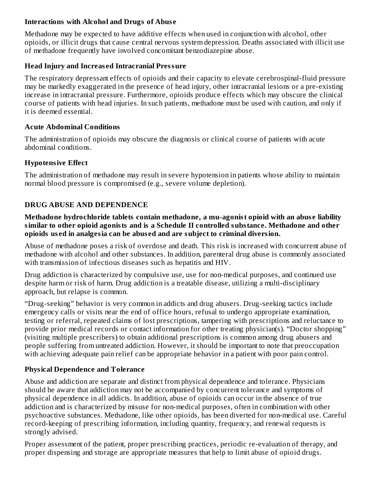### **Interactions with Alcohol and Drugs of Abus e**

Methadone may be expected to have additive effects when used in conjunction with alcohol, other opioids, or illicit drugs that cause central nervous system depression. Deaths associated with illicit use of methadone frequently have involved concomitant benzodiazepine abuse.

### **Head Injury and Increas ed Intracranial Pressure**

The respiratory depressant effects of opioids and their capacity to elevate cerebrospinal-fluid pressure may be markedly exaggerated in the presence of head injury, other intracranial lesions or a pre-existing increase in intracranial pressure. Furthermore, opioids produce effects which may obscure the clinical course of patients with head injuries. In such patients, methadone must be used with caution, and only if it is deemed essential.

### **Acute Abdominal Conditions**

The administration of opioids may obscure the diagnosis or clinical course of patients with acute abdominal conditions.

## **Hypotensive Effect**

The administration of methadone may result in severe hypotension in patients whose ability to maintain normal blood pressure is compromised (e.g., severe volume depletion).

## **DRUG ABUSE AND DEPENDENCE**

**Methadone hydrochloride tablets contain methadone, a mu-agonist opioid with an abus e liability similar to other opioid agonists and is a Schedule II controlled substance. Methadone and other opioids us ed in analgesia can be abus ed and are subject to criminal diversion.**

Abuse of methadone poses a risk of overdose and death. This risk is increased with concurrent abuse of methadone with alcohol and other substances. In addition, parenteral drug abuse is commonly associated with transmission of infectious diseases such as hepatitis and HIV.

Drug addiction is characterized by compulsive use, use for non-medical purposes, and continued use despite harm or risk of harm. Drug addiction is a treatable disease, utilizing a multi-disciplinary approach, but relapse is common.

"Drug-seeking" behavior is very common in addicts and drug abusers. Drug-seeking tactics include emergency calls or visits near the end of office hours, refusal to undergo appropriate examination, testing or referral, repeated claims of lost prescriptions, tampering with prescriptions and reluctance to provide prior medical records or contact information for other treating physician(s). "Doctor shopping" (visiting multiple prescribers) to obtain additional prescriptions is common among drug abusers and people suffering from untreated addiction. However, it should be important to note that preoccupation with achieving adequate pain relief can be appropriate behavior in a patient with poor pain control.

## **Physical Dependence and Tolerance**

Abuse and addiction are separate and distinct from physical dependence and tolerance. Physicians should be aware that addiction may not be accompanied by concurrent tolerance and symptoms of physical dependence in all addicts. In addition, abuse of opioids can occur in the absence of true addiction and is characterized by misuse for non-medical purposes, often in combination with other psychoactive substances. Methadone, like other opioids, has been diverted for non-medical use. Careful record-keeping of prescribing information, including quantity, frequency, and renewal requests is strongly advised.

Proper assessment of the patient, proper prescribing practices, periodic re-evaluation of therapy, and proper dispensing and storage are appropriate measures that help to limit abuse of opioid drugs.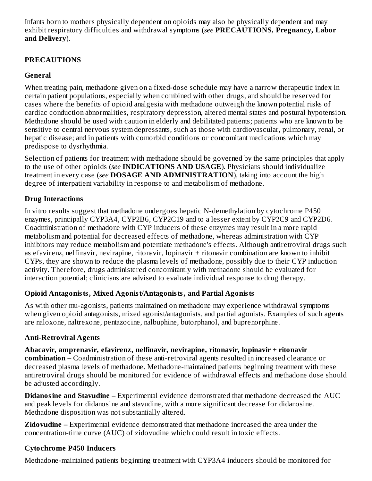Infants born to mothers physically dependent on opioids may also be physically dependent and may exhibit respiratory difficulties and withdrawal symptoms (*see* **PRECAUTIONS, Pregnancy, Labor and Delivery**).

## **PRECAUTIONS**

## **General**

When treating pain, methadone given on a fixed-dose schedule may have a narrow therapeutic index in certain patient populations, especially when combined with other drugs, and should be reserved for cases where the benefits of opioid analgesia with methadone outweigh the known potential risks of cardiac conduction abnormalities, respiratory depression, altered mental states and postural hypotension. Methadone should be used with caution in elderly and debilitated patients; patients who are known to be sensitive to central nervous system depressants, such as those with cardiovascular, pulmonary, renal, or hepatic disease; and in patients with comorbid conditions or concomitant medications which may predispose to dysrhythmia.

Selection of patients for treatment with methadone should be governed by the same principles that apply to the use of other opioids (*see* **INDICATIONS AND USAGE**). Physicians should individualize treatment in every case (*see* **DOSAGE AND ADMINISTRATION**), taking into account the high degree of interpatient variability in response to and metabolism of methadone.

## **Drug Interactions**

In vitro results suggest that methadone undergoes hepatic N-demethylation by cytochrome P450 enzymes, principally CYP3A4, CYP2B6, CYP2C19 and to a lesser extent by CYP2C9 and CYP2D6. Coadministration of methadone with CYP inducers of these enzymes may result in a more rapid metabolism and potential for decreased effects of methadone, whereas administration with CYP inhibitors may reduce metabolism and potentiate methadone's effects. Although antiretroviral drugs such as efavirenz, nelfinavir, nevirapine, ritonavir, lopinavir + ritonavir combination are known to inhibit CYPs, they are shown to reduce the plasma levels of methadone, possibly due to their CYP induction activity. Therefore, drugs administered concomitantly with methadone should be evaluated for interaction potential; clinicians are advised to evaluate individual response to drug therapy.

## **Opioid Antagonists, Mixed Agonist/Antagonists, and Partial Agonists**

As with other mu-agonists, patients maintained on methadone may experience withdrawal symptoms when given opioid antagonists, mixed agonist/antagonists, and partial agonists. Examples of such agents are naloxone, naltrexone, pentazocine, nalbuphine, butorphanol, and buprenorphine.

## **Anti-Retroviral Agents**

**Abacavir, amprenavir, efavirenz, nelfinavir, nevirapine, ritonavir, lopinavir + ritonavir combination –** Coadministration of these anti-retroviral agents resulted in increased clearance or decreased plasma levels of methadone. Methadone-maintained patients beginning treatment with these antiretroviral drugs should be monitored for evidence of withdrawal effects and methadone dose should be adjusted accordingly.

**Didanosine and Stavudine –** Experimental evidence demonstrated that methadone decreased the AUC and peak levels for didanosine and stavudine, with a more significant decrease for didanosine. Methadone disposition was not substantially altered.

**Zidovudine –** Experimental evidence demonstrated that methadone increased the area under the concentration-time curve (AUC) of zidovudine which could result in toxic effects.

## **Cytochrome P450 Inducers**

Methadone-maintained patients beginning treatment with CYP3A4 inducers should be monitored for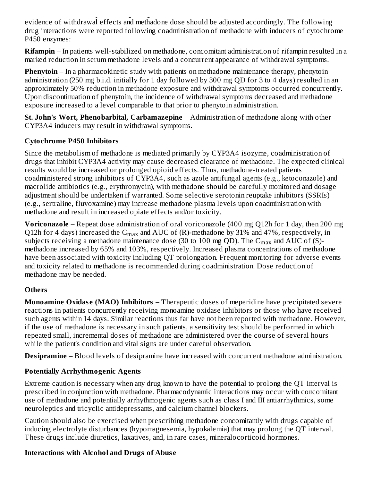$M_{\rm eff}$  inducers beginning treatment with  $C_{\rm eff}$  inducers should be monitored for monitored for monitored for evidence of withdrawal effects and methadone dose should be adjusted accordingly. The following drug interactions were reported following coadministration of methadone with inducers of cytochrome P450 enzymes:

**Rifampin** – In patients well-stabilized on methadone, concomitant administration of rifampin resulted in a marked reduction in serum methadone levels and a concurrent appearance of withdrawal symptoms.

**Phenytoin** – In a pharmacokinetic study with patients on methadone maintenance therapy, phenytoin administration (250 mg b.i.d. initially for 1 day followed by 300 mg QD for 3 to 4 days) resulted in an approximately 50% reduction in methadone exposure and withdrawal symptoms occurred concurrently. Upon discontinuation of phenytoin, the incidence of withdrawal symptoms decreased and methadone exposure increased to a level comparable to that prior to phenytoin administration.

**St. John's Wort, Phenobarbital, Carbamazepine** – Administration of methadone along with other CYP3A4 inducers may result in withdrawal symptoms.

## **Cytochrome P450 Inhibitors**

Since the metabolism of methadone is mediated primarily by CYP3A4 isozyme, coadministration of drugs that inhibit CYP3A4 activity may cause decreased clearance of methadone. The expected clinical results would be increased or prolonged opioid effects. Thus, methadone-treated patients coadministered strong inhibitors of CYP3A4, such as azole antifungal agents (e.g., ketoconazole) and macrolide antibiotics (e.g., erythromycin), with methadone should be carefully monitored and dosage adjustment should be undertaken if warranted. Some selective serotonin reuptake inhibitors (SSRIs) (e.g., sertraline, fluvoxamine) may increase methadone plasma levels upon coadministration with methadone and result in increased opiate effects and/or toxicity.

**Voriconazole** – Repeat dose administration of oral voriconazole (400 mg Q12h for 1 day, then 200 mg Q12h for 4 days) increased the  $\rm C_{max}$  and AUC of (R)-methadone by 31% and 47%, respectively, in subjects receiving a methadone maintenance dose (30 to 100 mg QD). The  $\mathsf{C}_{\max}$  and  $\mathrm{AUC}$  of (S)methadone increased by 65% and 103%, respectively. Increased plasma concentrations of methadone have been associated with toxicity including QT prolongation. Frequent monitoring for adverse events and toxicity related to methadone is recommended during coadministration. Dose reduction of methadone may be needed.

## **Others**

**Monoamine Oxidas e (MAO) Inhibitors** – Therapeutic doses of meperidine have precipitated severe reactions in patients concurrently receiving monoamine oxidase inhibitors or those who have received such agents within 14 days. Similar reactions thus far have not been reported with methadone. However, if the use of methadone is necessary in such patients, a sensitivity test should be performed in which repeated small, incremental doses of methadone are administered over the course of several hours while the patient's condition and vital signs are under careful observation.

**Desipramine** – Blood levels of desipramine have increased with concurrent methadone administration.

## **Potentially Arrhythmogenic Agents**

Extreme caution is necessary when any drug known to have the potential to prolong the QT interval is prescribed in conjunction with methadone. Pharmacodynamic interactions may occur with concomitant use of methadone and potentially arrhythmogenic agents such as class I and III antiarrhythmics, some neuroleptics and tricyclic antidepressants, and calcium channel blockers.

Caution should also be exercised when prescribing methadone concomitantly with drugs capable of inducing electrolyte disturbances (hypomagnesemia, hypokalemia) that may prolong the QT interval. These drugs include diuretics, laxatives, and, in rare cases, mineralocorticoid hormones.

## **Interactions with Alcohol and Drugs of Abus e**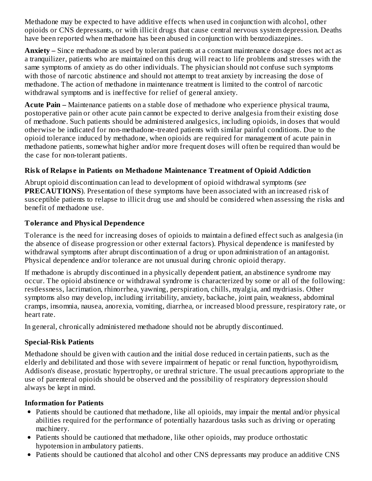Methadone may be expected to have additive effects when used in conjunction with alcohol, other opioids or CNS depressants, or with illicit drugs that cause central nervous system depression. Deaths have been reported when methadone has been abused in conjunction with benzodiazepines.

**Anxiety –** Since methadone as used by tolerant patients at a constant maintenance dosage does not act as a tranquilizer, patients who are maintained on this drug will react to life problems and stresses with the same symptoms of anxiety as do other individuals. The physician should not confuse such symptoms with those of narcotic abstinence and should not attempt to treat anxiety by increasing the dose of methadone. The action of methadone in maintenance treatment is limited to the control of narcotic withdrawal symptoms and is ineffective for relief of general anxiety.

**Acute Pain –** Maintenance patients on a stable dose of methadone who experience physical trauma, postoperative pain or other acute pain cannot be expected to derive analgesia from their existing dose of methadone. Such patients should be administered analgesics, including opioids, in doses that would otherwise be indicated for non-methadone-treated patients with similar painful conditions. Due to the opioid tolerance induced by methadone, when opioids are required for management of acute pain in methadone patients, somewhat higher and/or more frequent doses will often be required than would be the case for non-tolerant patients.

## **Risk of Relaps e in Patients on Methadone Maintenance Treatment of Opioid Addiction**

Abrupt opioid discontinuation can lead to development of opioid withdrawal symptoms (*see* **PRECAUTIONS**). Presentation of these symptoms have been associated with an increased risk of susceptible patients to relapse to illicit drug use and should be considered when assessing the risks and benefit of methadone use.

## **Tolerance and Physical Dependence**

Tolerance is the need for increasing doses of opioids to maintain a defined effect such as analgesia (in the absence of disease progression or other external factors). Physical dependence is manifested by withdrawal symptoms after abrupt discontinuation of a drug or upon administration of an antagonist. Physical dependence and/or tolerance are not unusual during chronic opioid therapy.

If methadone is abruptly discontinued in a physically dependent patient, an abstinence syndrome may occur. The opioid abstinence or withdrawal syndrome is characterized by some or all of the following: restlessness, lacrimation, rhinorrhea, yawning, perspiration, chills, myalgia, and mydriasis. Other symptoms also may develop, including irritability, anxiety, backache, joint pain, weakness, abdominal cramps, insomnia, nausea, anorexia, vomiting, diarrhea, or increased blood pressure, respiratory rate, or heart rate.

In general, chronically administered methadone should not be abruptly discontinued.

## **Special-Risk Patients**

Methadone should be given with caution and the initial dose reduced in certain patients, such as the elderly and debilitated and those with severe impairment of hepatic or renal function, hypothyroidism, Addison's disease, prostatic hypertrophy, or urethral stricture. The usual precautions appropriate to the use of parenteral opioids should be observed and the possibility of respiratory depression should always be kept in mind.

## **Information for Patients**

- Patients should be cautioned that methadone, like all opioids, may impair the mental and/or physical abilities required for the performance of potentially hazardous tasks such as driving or operating machinery.
- Patients should be cautioned that methadone, like other opioids, may produce orthostatic hypotension in ambulatory patients.
- Patients should be cautioned that alcohol and other CNS depressants may produce an additive CNS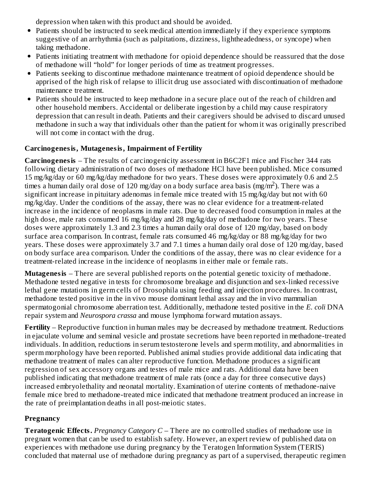depression when taken with this product and should be avoided.

- Patients should be instructed to seek medical attention immediately if they experience symptoms suggestive of an arrhythmia (such as palpitations, dizziness, lightheadedness, or syncope) when taking methadone.
- Patients initiating treatment with methadone for opioid dependence should be reassured that the dose of methadone will "hold" for longer periods of time as treatment progresses.
- Patients seeking to discontinue methadone maintenance treatment of opioid dependence should be apprised of the high risk of relapse to illicit drug use associated with discontinuation of methadone maintenance treatment.
- Patients should be instructed to keep methadone in a secure place out of the reach of children and other household members. Accidental or deliberate ingestion by a child may cause respiratory depression that can result in death. Patients and their caregivers should be advised to discard unused methadone in such a way that individuals other than the patient for whom it was originally prescribed will not come in contact with the drug.

## **Carcinogenesis, Mutagenesis, Impairment of Fertility**

**Carcinogenesis** – The results of carcinogenicity assessment in B6C2F1 mice and Fischer 344 rats following dietary administration of two doses of methadone HCl have been published. Mice consumed 15 mg/kg/day or 60 mg/kg/day methadone for two years. These doses were approximately 0.6 and 2.5 times a human daily oral dose of 120 mg/day on a body surface area basis (mg/m<sup>2</sup>). There was a significant increase in pituitary adenomas in female mice treated with 15 mg/kg/day but not with 60 mg/kg/day. Under the conditions of the assay, there was no clear evidence for a treatment-related increase in the incidence of neoplasms in male rats. Due to decreased food consumption in males at the high dose, male rats consumed 16 mg/kg/day and 28 mg/kg/day of methadone for two years. These doses were approximately 1.3 and 2.3 times a human daily oral dose of 120 mg/day, based on body surface area comparison. In contrast, female rats consumed 46 mg/kg/day or 88 mg/kg/day for two years. These doses were approximately 3.7 and 7.1 times a human daily oral dose of 120 mg/day, based on body surface area comparison. Under the conditions of the assay, there was no clear evidence for a treatment-related increase in the incidence of neoplasms in either male or female rats.

**Mutagenesis** – There are several published reports on the potential genetic toxicity of methadone. Methadone tested negative in tests for chromosome breakage and disjunction and sex-linked recessive lethal gene mutations in germ cells of Drosophila using feeding and injection procedures. In contrast, methadone tested positive in the in vivo mouse dominant lethal assay and the in vivo mammalian spermatogonial chromosome aberration test. Additionally, methadone tested positive in the *E. coli* DNA repair system and *Neurospora crassa* and mouse lymphoma forward mutation assays.

**Fertility** – Reproductive function in human males may be decreased by methadone treatment. Reductions in ejaculate volume and seminal vesicle and prostate secretions have been reported in methadone-treated individuals. In addition, reductions in serum testosterone levels and sperm motility, and abnormalities in sperm morphology have been reported. Published animal studies provide additional data indicating that methadone treatment of males can alter reproductive function. Methadone produces a significant regression of sex accessory organs and testes of male mice and rats. Additional data have been published indicating that methadone treatment of male rats (once a day for three consecutive days) increased embryolethality and neonatal mortality. Examination of uterine contents of methadone-naive female mice bred to methadone-treated mice indicated that methadone treatment produced an increase in the rate of preimplantation deaths in all post-meiotic states.

## **Pregnancy**

**Teratogenic Effects.** *Pregnancy Category C* – There are no controlled studies of methadone use in pregnant women that can be used to establish safety. However, an expert review of published data on experiences with methadone use during pregnancy by the Teratogen Information System (TERIS) concluded that maternal use of methadone during pregnancy as part of a supervised, therapeutic regimen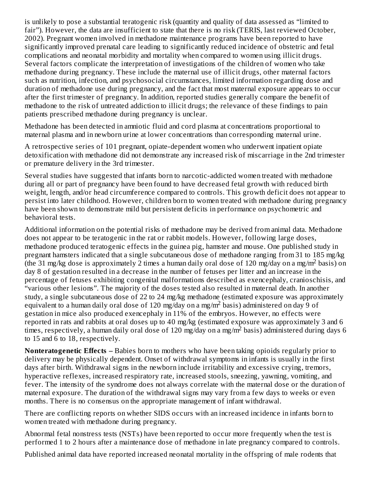is unlikely to pose a substantial teratogenic risk (quantity and quality of data assessed as "limited to fair"). However, the data are insufficient to state that there is no risk (TERIS, last reviewed October, 2002). Pregnant women involved in methadone maintenance programs have been reported to have significantly improved prenatal care leading to significantly reduced incidence of obstetric and fetal complications and neonatal morbidity and mortality when compared to women using illicit drugs. Several factors complicate the interpretation of investigations of the children of women who take methadone during pregnancy. These include the maternal use of illicit drugs, other maternal factors such as nutrition, infection, and psychosocial circumstances, limited information regarding dose and duration of methadone use during pregnancy, and the fact that most maternal exposure appears to occur after the first trimester of pregnancy. In addition, reported studies generally compare the benefit of methadone to the risk of untreated addiction to illicit drugs; the relevance of these findings to pain patients prescribed methadone during pregnancy is unclear.

Methadone has been detected in amniotic fluid and cord plasma at concentrations proportional to maternal plasma and in newborn urine at lower concentrations than corresponding maternal urine.

A retrospective series of 101 pregnant, opiate-dependent women who underwent inpatient opiate detoxification with methadone did not demonstrate any increased risk of miscarriage in the 2nd trimester or premature delivery in the 3rd trimester.

Several studies have suggested that infants born to narcotic-addicted women treated with methadone during all or part of pregnancy have been found to have decreased fetal growth with reduced birth weight, length, and/or head circumference compared to controls. This growth deficit does not appear to persist into later childhood. However, children born to women treated with methadone during pregnancy have been shown to demonstrate mild but persistent deficits in performance on psychometric and behavioral tests.

Additional information on the potential risks of methadone may be derived from animal data. Methadone does not appear to be teratogenic in the rat or rabbit models. However, following large doses, methadone produced teratogenic effects in the guinea pig, hamster and mouse. One published study in pregnant hamsters indicated that a single subcutaneous dose of methadone ranging from 31 to 185 mg/kg (the 31 mg/kg dose is approximately 2 times a human daily oral dose of 120 mg/day on a mg/m<sup>2</sup> basis) on day 8 of gestation resulted in a decrease in the number of fetuses per litter and an increase in the percentage of fetuses exhibiting congenital malformations described as exencephaly, cranioschisis, and "various other lesions". The majority of the doses tested also resulted in maternal death. In another study, a single subcutaneous dose of 22 to 24 mg/kg methadone (estimated exposure was approximately equivalent to a human daily oral dose of 120 mg/day on a mg/m<sup>2</sup> basis) administered on day 9 of gestation in mice also produced exencephaly in 11% of the embryos. However, no effects were reported in rats and rabbits at oral doses up to 40 mg/kg (estimated exposure was approximately 3 and 6 times, respectively, a human daily oral dose of 120 mg/day on a mg/m<sup>2</sup> basis) administered during days 6 to 15 and 6 to 18, respectively.

**Nonteratogenetic Effects –** Babies born to mothers who have been taking opioids regularly prior to delivery may be physically dependent. Onset of withdrawal symptoms in infants is usually in the first days after birth. Withdrawal signs in the newborn include irritability and excessive crying, tremors, hyperactive reflexes, increased respiratory rate, increased stools, sneezing, yawning, vomiting, and fever. The intensity of the syndrome does not always correlate with the maternal dose or the duration of maternal exposure. The duration of the withdrawal signs may vary from a few days to weeks or even months. There is no consensus on the appropriate management of infant withdrawal.

There are conflicting reports on whether SIDS occurs with an increased incidence in infants born to women treated with methadone during pregnancy.

Abnormal fetal nonstress tests (NSTs) have been reported to occur more frequently when the test is performed 1 to 2 hours after a maintenance dose of methadone in late pregnancy compared to controls.

Published animal data have reported increased neonatal mortality in the offspring of male rodents that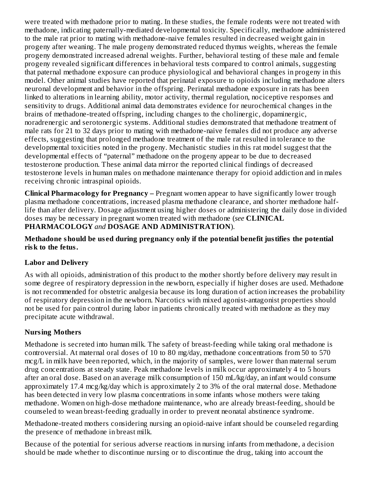were treated with methadone prior to mating. In these studies, the female rodents were not treated with methadone, indicating paternally-mediated developmental toxicity. Specifically, methadone administered to the male rat prior to mating with methadone-naive females resulted in decreased weight gain in progeny after weaning. The male progeny demonstrated reduced thymus weights, whereas the female progeny demonstrated increased adrenal weights. Further, behavioral testing of these male and female progeny revealed significant differences in behavioral tests compared to control animals, suggesting that paternal methadone exposure can produce physiological and behavioral changes in progeny in this model. Other animal studies have reported that perinatal exposure to opioids including methadone alters neuronal development and behavior in the offspring. Perinatal methadone exposure in rats has been linked to alterations in learning ability, motor activity, thermal regulation, nociceptive responses and sensitivity to drugs. Additional animal data demonstrates evidence for neurochemical changes in the brains of methadone-treated offspring, including changes to the cholinergic, dopaminergic, noradrenergic and serotonergic systems. Additional studies demonstrated that methadone treatment of male rats for 21 to 32 days prior to mating with methadone-naive females did not produce any adverse effects, suggesting that prolonged methadone treatment of the male rat resulted in tolerance to the developmental toxicities noted in the progeny. Mechanistic studies in this rat model suggest that the developmental effects of "paternal" methadone on the progeny appear to be due to decreased testosterone production. These animal data mirror the reported clinical findings of decreased testosterone levels in human males on methadone maintenance therapy for opioid addiction and in males receiving chronic intraspinal opioids.

**Clinical Pharmacology for Pregnancy –** Pregnant women appear to have significantly lower trough plasma methadone concentrations, increased plasma methadone clearance, and shorter methadone halflife than after delivery. Dosage adjustment using higher doses or administering the daily dose in divided doses may be necessary in pregnant women treated with methadone (*see* **CLINICAL PHARMACOLOGY** *and* **DOSAGE AND ADMINISTRATION**).

**Methadone should be us ed during pregnancy only if the potential benefit justifies the potential risk to the fetus.**

### **Labor and Delivery**

As with all opioids, administration of this product to the mother shortly before delivery may result in some degree of respiratory depression in the newborn, especially if higher doses are used. Methadone is not recommended for obstetric analgesia because its long duration of action increases the probability of respiratory depression in the newborn. Narcotics with mixed agonist-antagonist properties should not be used for pain control during labor in patients chronically treated with methadone as they may precipitate acute withdrawal.

## **Nursing Mothers**

Methadone is secreted into human milk. The safety of breast-feeding while taking oral methadone is controversial. At maternal oral doses of 10 to 80 mg/day, methadone concentrations from 50 to 570 mcg/L in milk have been reported, which, in the majority of samples, were lower than maternal serum drug concentrations at steady state. Peak methadone levels in milk occur approximately 4 to 5 hours after an oral dose. Based on an average milk consumption of 150 mL/kg/day, an infant would consume approximately 17.4 mcg/kg/day which is approximately 2 to 3% of the oral maternal dose. Methadone has been detected in very low plasma concentrations in some infants whose mothers were taking methadone. Women on high-dose methadone maintenance, who are already breast-feeding, should be counseled to wean breast-feeding gradually in order to prevent neonatal abstinence syndrome.

Methadone-treated mothers considering nursing an opioid-naive infant should be counseled regarding the presence of methadone in breast milk.

Because of the potential for serious adverse reactions in nursing infants from methadone, a decision should be made whether to discontinue nursing or to discontinue the drug, taking into account the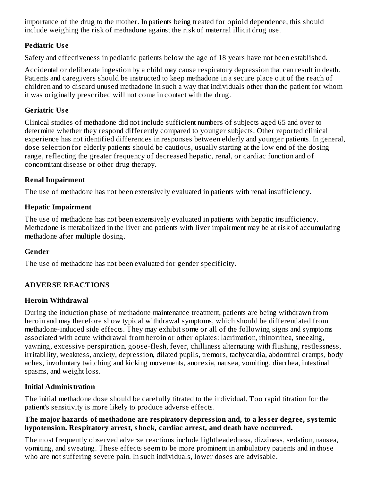importance of the drug to the mother. In patients being treated for opioid dependence, this should include weighing the risk of methadone against the risk of maternal illicit drug use.

## **Pediatric Us e**

Safety and effectiveness in pediatric patients below the age of 18 years have not been established.

Accidental or deliberate ingestion by a child may cause respiratory depression that can result in death. Patients and caregivers should be instructed to keep methadone in a secure place out of the reach of children and to discard unused methadone in such a way that individuals other than the patient for whom it was originally prescribed will not come in contact with the drug.

## **Geriatric Us e**

Clinical studies of methadone did not include sufficient numbers of subjects aged 65 and over to determine whether they respond differently compared to younger subjects. Other reported clinical experience has not identified differences in responses between elderly and younger patients. In general, dose selection for elderly patients should be cautious, usually starting at the low end of the dosing range, reflecting the greater frequency of decreased hepatic, renal, or cardiac function and of concomitant disease or other drug therapy.

### **Renal Impairment**

The use of methadone has not been extensively evaluated in patients with renal insufficiency.

### **Hepatic Impairment**

The use of methadone has not been extensively evaluated in patients with hepatic insufficiency. Methadone is metabolized in the liver and patients with liver impairment may be at risk of accumulating methadone after multiple dosing.

### **Gender**

The use of methadone has not been evaluated for gender specificity.

## **ADVERSE REACTIONS**

### **Heroin Withdrawal**

During the induction phase of methadone maintenance treatment, patients are being withdrawn from heroin and may therefore show typical withdrawal symptoms, which should be differentiated from methadone-induced side effects. They may exhibit some or all of the following signs and symptoms associated with acute withdrawal from heroin or other opiates: lacrimation, rhinorrhea, sneezing, yawning, excessive perspiration, goose-flesh, fever, chilliness alternating with flushing, restlessness, irritability, weakness, anxiety, depression, dilated pupils, tremors, tachycardia, abdominal cramps, body aches, involuntary twitching and kicking movements, anorexia, nausea, vomiting, diarrhea, intestinal spasms, and weight loss.

### **Initial Administration**

The initial methadone dose should be carefully titrated to the individual. Too rapid titration for the patient's sensitivity is more likely to produce adverse effects.

### **The major hazards of methadone are respiratory depression and, to a less er degree, systemic hypotension. Respiratory arrest, shock, cardiac arrest, and death have occurred.**

The most frequently observed adverse reactions include lightheadedness, dizziness, sedation, nausea, vomiting, and sweating. These effects seem to be more prominent in ambulatory patients and in those who are not suffering severe pain. In such individuals, lower doses are advisable.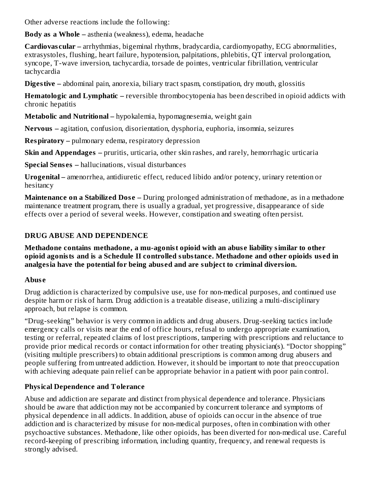Other adverse reactions include the following:

**Body as a Whole –** asthenia (weakness), edema, headache

**Cardiovas cular –** arrhythmias, bigeminal rhythms, bradycardia, cardiomyopathy, ECG abnormalities, extrasystoles, flushing, heart failure, hypotension, palpitations, phlebitis, QT interval prolongation, syncope, T-wave inversion, tachycardia, torsade de pointes, ventricular fibrillation, ventricular tachycardia

**Digestive –** abdominal pain, anorexia, biliary tract spasm, constipation, dry mouth, glossitis

**Hematologic and Lymphatic –** reversible thrombocytopenia has been described in opioid addicts with chronic hepatitis

**Metabolic and Nutritional –** hypokalemia, hypomagnesemia, weight gain

**Nervous –** agitation, confusion, disorientation, dysphoria, euphoria, insomnia, seizures

**Respiratory –** pulmonary edema, respiratory depression

**Skin and Appendages –** pruritis, urticaria, other skin rashes, and rarely, hemorrhagic urticaria

**Special Sens es –** hallucinations, visual disturbances

**Urogenital –** amenorrhea, antidiuretic effect, reduced libido and/or potency, urinary retention or hesitancy

**Maintenance on a Stabilized Dos e –** During prolonged administration of methadone, as in a methadone maintenance treatment program, there is usually a gradual, yet progressive, disappearance of side effects over a period of several weeks. However, constipation and sweating often persist.

## **DRUG ABUSE AND DEPENDENCE**

### **Methadone contains methadone, a mu-agonist opioid with an abus e liability similar to other opioid agonists and is a Schedule II controlled substance. Methadone and other opioids us ed in analgesia have the potential for being abus ed and are subject to criminal diversion.**

## **Abus e**

Drug addiction is characterized by compulsive use, use for non-medical purposes, and continued use despite harm or risk of harm. Drug addiction is a treatable disease, utilizing a multi-disciplinary approach, but relapse is common.

"Drug-seeking" behavior is very common in addicts and drug abusers. Drug-seeking tactics include emergency calls or visits near the end of office hours, refusal to undergo appropriate examination, testing or referral, repeated claims of lost prescriptions, tampering with prescriptions and reluctance to provide prior medical records or contact information for other treating physician(s). "Doctor shopping" (visiting multiple prescribers) to obtain additional prescriptions is common among drug abusers and people suffering from untreated addiction. However, it should be important to note that preoccupation with achieving adequate pain relief can be appropriate behavior in a patient with poor pain control.

## **Physical Dependence and Tolerance**

Abuse and addiction are separate and distinct from physical dependence and tolerance. Physicians should be aware that addiction may not be accompanied by concurrent tolerance and symptoms of physical dependence in all addicts. In addition, abuse of opioids can occur in the absence of true addiction and is characterized by misuse for non-medical purposes, often in combination with other psychoactive substances. Methadone, like other opioids, has been diverted for non-medical use. Careful record-keeping of prescribing information, including quantity, frequency, and renewal requests is strongly advised.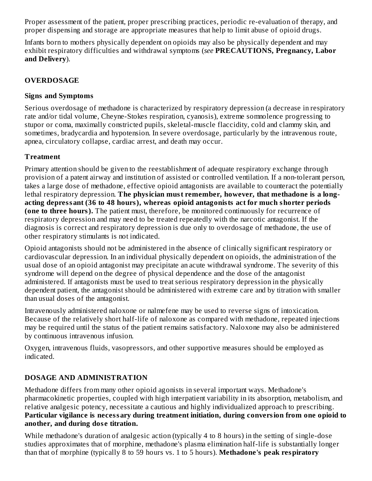Proper assessment of the patient, proper prescribing practices, periodic re-evaluation of therapy, and proper dispensing and storage are appropriate measures that help to limit abuse of opioid drugs.

Infants born to mothers physically dependent on opioids may also be physically dependent and may exhibit respiratory difficulties and withdrawal symptoms (*see* **PRECAUTIONS, Pregnancy, Labor and Delivery**).

## **OVERDOSAGE**

### **Signs and Symptoms**

Serious overdosage of methadone is characterized by respiratory depression (a decrease in respiratory rate and/or tidal volume, Cheyne-Stokes respiration, cyanosis), extreme somnolence progressing to stupor or coma, maximally constricted pupils, skeletal-muscle flaccidity, cold and clammy skin, and sometimes, bradycardia and hypotension. In severe overdosage, particularly by the intravenous route, apnea, circulatory collapse, cardiac arrest, and death may occur.

### **Treatment**

Primary attention should be given to the reestablishment of adequate respiratory exchange through provision of a patent airway and institution of assisted or controlled ventilation. If a non-tolerant person, takes a large dose of methadone, effective opioid antagonists are available to counteract the potentially lethal respiratory depression. **The physician must remember, however, that methadone is a longacting depressant (36 to 48 hours), whereas opioid antagonists act for much shorter periods (one to three hours).** The patient must, therefore, be monitored continuously for recurrence of respiratory depression and may need to be treated repeatedly with the narcotic antagonist. If the diagnosis is correct and respiratory depression is due only to overdosage of methadone, the use of other respiratory stimulants is not indicated.

Opioid antagonists should not be administered in the absence of clinically significant respiratory or cardiovascular depression. In an individual physically dependent on opioids, the administration of the usual dose of an opioid antagonist may precipitate an acute withdrawal syndrome. The severity of this syndrome will depend on the degree of physical dependence and the dose of the antagonist administered. If antagonists must be used to treat serious respiratory depression in the physically dependent patient, the antagonist should be administered with extreme care and by titration with smaller than usual doses of the antagonist.

Intravenously administered naloxone or nalmefene may be used to reverse signs of intoxication. Because of the relatively short half-life of naloxone as compared with methadone, repeated injections may be required until the status of the patient remains satisfactory. Naloxone may also be administered by continuous intravenous infusion.

Oxygen, intravenous fluids, vasopressors, and other supportive measures should be employed as indicated.

## **DOSAGE AND ADMINISTRATION**

Methadone differs from many other opioid agonists in several important ways. Methadone's pharmacokinetic properties, coupled with high interpatient variability in its absorption, metabolism, and relative analgesic potency, necessitate a cautious and highly individualized approach to prescribing. **Particular vigilance is necessary during treatment initiation, during conversion from one opioid to another, and during dos e titration.**

While methadone's duration of analgesic action (typically 4 to 8 hours) in the setting of single-dose studies approximates that of morphine, methadone's plasma elimination half-life is substantially longer than that of morphine (typically 8 to 59 hours vs. 1 to 5 hours). **Methadone's peak respiratory**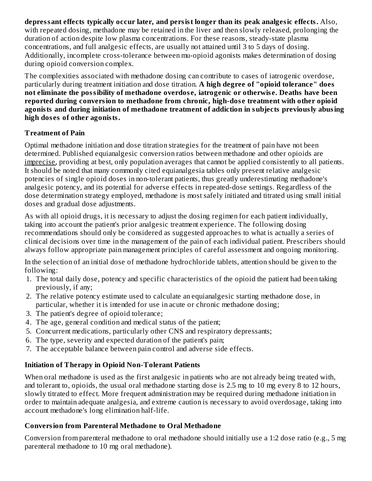**depressant effects typically occur later, and persist longer than its peak analgesic effects.** Also, with repeated dosing, methadone may be retained in the liver and then slowly released, prolonging the duration of action despite low plasma concentrations. For these reasons, steady-state plasma concentrations, and full analgesic effects, are usually not attained until 3 to 5 days of dosing. Additionally, incomplete cross-tolerance between mu-opioid agonists makes determination of dosing during opioid conversion complex.

The complexities associated with methadone dosing can contribute to cases of iatrogenic overdose, particularly during treatment initiation and dose titration. **A high degree of "opioid tolerance" does not eliminate the possibility of methadone overdos e, iatrogenic or otherwis e. Deaths have been reported during conversion to methadone from chronic, high-dos e treatment with other opioid agonists and during initiation of methadone treatment of addiction in subjects previously abusing high dos es of other agonists.**

### **Treatment of Pain**

Optimal methadone initiation and dose titration strategies for the treatment of pain have not been determined. Published equianalgesic conversion ratios between methadone and other opioids are imprecise, providing at best, only population averages that cannot be applied consistently to all patients. It should be noted that many commonly cited equianalgesia tables only present relative analgesic potencies of single opioid doses in non-tolerant patients, thus greatly underestimating methadone's analgesic potency, and its potential for adverse effects in repeated-dose settings. Regardless of the dose determination strategy employed, methadone is most safely initiated and titrated using small initial doses and gradual dose adjustments.

As with all opioid drugs, it is necessary to adjust the dosing regimen for each patient individually, taking into account the patient's prior analgesic treatment experience. The following dosing recommendations should only be considered as suggested approaches to what is actually a series of clinical decisions over time in the management of the pain of each individual patient. Prescribers should always follow appropriate pain management principles of careful assessment and ongoing monitoring.

In the selection of an initial dose of methadone hydrochloride tablets, attention should be given to the following:

- 1. The total daily dose, potency and specific characteristics of the opioid the patient had been taking previously, if any;
- 2. The relative potency estimate used to calculate an equianalgesic starting methadone dose, in particular, whether it is intended for use in acute or chronic methadone dosing;
- 3. The patient's degree of opioid tolerance;
- 4. The age, general condition and medical status of the patient;
- 5. Concurrent medications, particularly other CNS and respiratory depressants;
- 6. The type, severity and expected duration of the patient's pain;
- 7. The acceptable balance between pain control and adverse side effects.

## **Initiation of Therapy in Opioid Non-Tolerant Patients**

When oral methadone is used as the first analgesic in patients who are not already being treated with, and tolerant to, opioids, the usual oral methadone starting dose is 2.5 mg to 10 mg every 8 to 12 hours, slowly titrated to effect. More frequent administration may be required during methadone initiation in order to maintain adequate analgesia, and extreme caution is necessary to avoid overdosage, taking into account methadone's long elimination half-life.

## **Conversion from Parenteral Methadone to Oral Methadone**

Conversion from parenteral methadone to oral methadone should initially use a 1:2 dose ratio (e.g., 5 mg parenteral methadone to 10 mg oral methadone).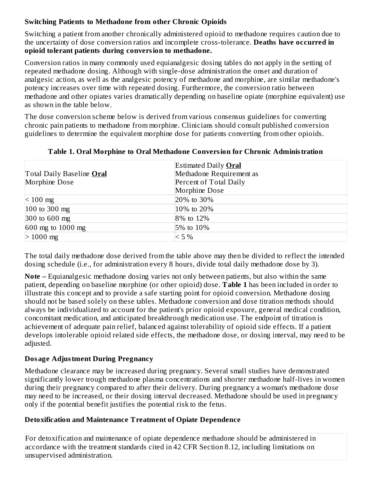## **Switching Patients to Methadone from other Chronic Opioids**

Switching a patient from another chronically administered opioid to methadone requires caution due to the uncertainty of dose conversion ratios and incomplete cross-tolerance. **Deaths have occurred in opioid tolerant patients during conversion to methadone.**

Conversion ratios in many commonly used equianalgesic dosing tables do not apply in the setting of repeated methadone dosing. Although with single-dose administration the onset and duration of analgesic action, as well as the analgesic potency of methadone and morphine, are similar methadone's potency increases over time with repeated dosing. Furthermore, the conversion ratio between methadone and other opiates varies dramatically depending on baseline opiate (morphine equivalent) use as shown in the table below.

The dose conversion scheme below is derived from various consensus guidelines for converting chronic pain patients to methadone from morphine. Clinicians should consult published conversion guidelines to determine the equivalent morphine dose for patients converting from other opioids.

| Total Daily Baseline Oral<br>Morphine Dose | <b>Estimated Daily Oral</b><br>Methadone Requirement as<br>Percent of Total Daily<br>Morphine Dose |
|--------------------------------------------|----------------------------------------------------------------------------------------------------|
| $\approx 100$ mg                           | 20% to 30%                                                                                         |
| 100 to 300 mg                              | 10% to 20%                                                                                         |
| 300 to 600 mg                              | 8% to 12%                                                                                          |
| $600$ mg to 1000 mg                        | 5% to 10%                                                                                          |
| $> 1000$ mg                                | $< 5\%$                                                                                            |

### **Table 1. Oral Morphine to Oral Methadone Conversion for Chronic Administration**

The total daily methadone dose derived from the table above may then be divided to reflect the intended dosing schedule (i.e., for administration every 8 hours, divide total daily methadone dose by 3).

**Note –** Equianalgesic methadone dosing varies not only between patients, but also within the same patient, depending on baseline morphine (or other opioid) dose. **Table 1** has been included in order to illustrate this concept and to provide a safe starting point for opioid conversion. Methadone dosing should not be based solely on these tables. Methadone conversion and dose titration methods should always be individualized to account for the patient's prior opioid exposure, general medical condition, concomitant medication, and anticipated breakthrough medication use. The endpoint of titration is achievement of adequate pain relief, balanced against tolerability of opioid side effects. If a patient develops intolerable opioid related side effects, the methadone dose, or dosing interval, may need to be adjusted.

### **Dosage Adjustment During Pregnancy**

Methadone clearance may be increased during pregnancy. Several small studies have demonstrated significantly lower trough methadone plasma concentrations and shorter methadone half-lives in women during their pregnancy compared to after their delivery. During pregnancy a woman's methadone dose may need to be increased, or their dosing interval decreased. Methadone should be used in pregnancy only if the potential benefit justifies the potential risk to the fetus.

### **Detoxification and Maintenance Treatment of Opiate Dependence**

For detoxification and maintenance of opiate dependence methadone should be administered in accordance with the treatment standards cited in 42 CFR Section 8.12, including limitations on unsupervised administration.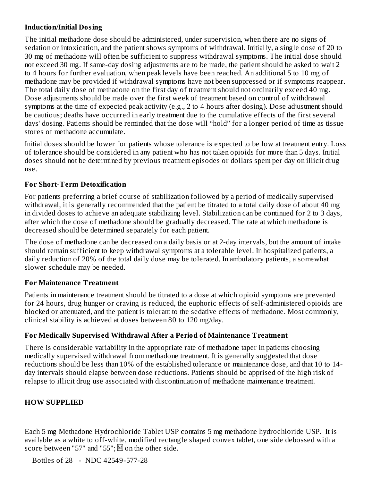### **Induction/Initial Dosing**

The initial methadone dose should be administered, under supervision, when there are no signs of sedation or intoxication, and the patient shows symptoms of withdrawal. Initially, a single dose of 20 to 30 mg of methadone will often be sufficient to suppress withdrawal symptoms. The initial dose should not exceed 30 mg. If same-day dosing adjustments are to be made, the patient should be asked to wait 2 to 4 hours for further evaluation, when peak levels have been reached. An additional 5 to 10 mg of methadone may be provided if withdrawal symptoms have not been suppressed or if symptoms reappear. The total daily dose of methadone on the first day of treatment should not ordinarily exceed 40 mg. Dose adjustments should be made over the first week of treatment based on control of withdrawal symptoms at the time of expected peak activity (e.g., 2 to 4 hours after dosing). Dose adjustment should be cautious; deaths have occurred in early treatment due to the cumulative effects of the first several days' dosing. Patients should be reminded that the dose will "hold" for a longer period of time as tissue stores of methadone accumulate.

Initial doses should be lower for patients whose tolerance is expected to be low at treatment entry. Loss of tolerance should be considered in any patient who has not taken opioids for more than 5 days. Initial doses should not be determined by previous treatment episodes or dollars spent per day on illicit drug use.

### **For Short-Term Detoxification**

For patients preferring a brief course of stabilization followed by a period of medically supervised withdrawal, it is generally recommended that the patient be titrated to a total daily dose of about 40 mg in divided doses to achieve an adequate stabilizing level. Stabilization can be continued for 2 to 3 days, after which the dose of methadone should be gradually decreased. The rate at which methadone is decreased should be determined separately for each patient.

The dose of methadone can be decreased on a daily basis or at 2-day intervals, but the amount of intake should remain sufficient to keep withdrawal symptoms at a tolerable level. In hospitalized patients, a daily reduction of 20% of the total daily dose may be tolerated. In ambulatory patients, a somewhat slower schedule may be needed.

#### **For Maintenance Treatment**

Patients in maintenance treatment should be titrated to a dose at which opioid symptoms are prevented for 24 hours, drug hunger or craving is reduced, the euphoric effects of self-administered opioids are blocked or attenuated, and the patient is tolerant to the sedative effects of methadone. Most commonly, clinical stability is achieved at doses between 80 to 120 mg/day.

#### **For Medically Supervis ed Withdrawal After a Period of Maintenance Treatment**

There is considerable variability in the appropriate rate of methadone taper in patients choosing medically supervised withdrawal from methadone treatment. It is generally suggested that dose reductions should be less than 10% of the established tolerance or maintenance dose, and that 10 to 14 day intervals should elapse between dose reductions. Patients should be apprised of the high risk of relapse to illicit drug use associated with discontinuation of methadone maintenance treatment.

### **HOW SUPPLIED**

Each 5 mg Methadone Hydrochloride Tablet USP contains 5 mg methadone hydrochloride USP. It is available as a white to off-white, modified rectangle shaped convex tablet, one side debossed with a score between "57" and "55";  $\overline{M}$  on the other side.

Bottles of 28 - NDC 42549-577-28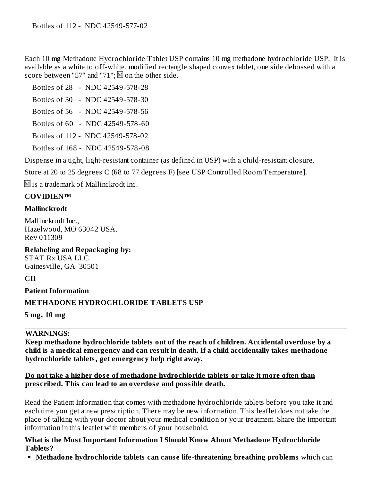Each 10 mg Methadone Hydrochloride Tablet USP contains 10 mg methadone hydrochloride USP. It is available as a white to off-white, modified rectangle shaped convex tablet, one side debossed with a score between "57" and "71";  $\overline{M}$  on the other side.

Bottles of 28 - NDC 42549-578-28

Bottles of 30 - NDC 42549-578-30

Bottles of 56 - NDC 42549-578-56

Bottles of 60 - NDC 42549-578-60

Bottles of 112 - NDC 42549-578-02

Bottles of 168 - NDC 42549-578-08

Dispense in a tight, light-resistant container (as defined in USP) with a child-resistant closure.

Store at 20 to 25 degrees C (68 to 77 degrees F) [see USP Controlled Room Temperature].

 $\overline{M}$  is a trademark of Mallinckrodt Inc.

### **COVIDIEN™**

### **Mallinckrodt**

Mallinckrodt Inc., Hazelwood, MO 63042 USA. Rev 011309

**Relabeling and Repackaging by:** STAT Rx USA LLC

Gainesville, GA 30501

### **CII**

**Patient Information**

### **METHADONE HYDROCHLORIDE TABLETS USP**

**5 mg, 10 mg**

### **WARNINGS:**

**Keep methadone hydrochloride tablets out of the reach of children. Accidental overdos e by a child is a medical emergency and can result in death. If a child accidentally takes methadone hydrochloride tablets, get emergency help right away.**

#### **Do not take a higher dos e of methadone hydrochloride tablets or take it more often than pres cribed. This can lead to an overdos e and possible death.**

Read the Patient Information that comes with methadone hydrochloride tablets before you take it and each time you get a new prescription. There may be new information. This leaflet does not take the place of talking with your doctor about your medical condition or your treatment. Share the important information in this leaflet with members of your household.

**What is the Most Important Information I Should Know About Methadone Hydrochloride Tablets?**

**Methadone hydrochloride tablets can caus e life-threatening breathing problems** which can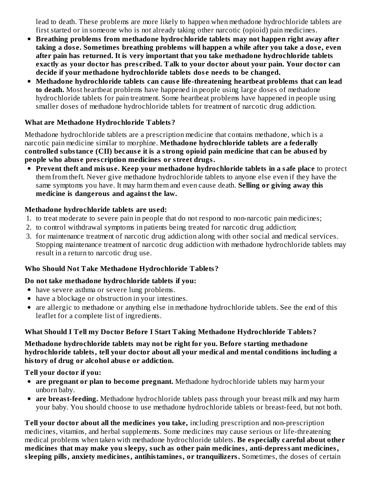lead to death. These problems are more likely to happen when methadone hydrochloride tablets are first started or in someone who is not already taking other narcotic (opioid) pain medicines.

- **Breathing problems from methadone hydrochloride tablets may not happen right away after taking a dos e. Sometimes breathing problems will happen a while after you take a dos e, even after pain has returned. It is very important that you take methadone hydrochloride tablets exactly as your doctor has pres cribed. Talk to your doctor about your pain. Your doctor can decide if your methadone hydrochloride tablets dos e needs to be changed.**
- **Methadone hydrochloride tablets can caus e life-threatening heartbeat problems that can lead to death.** Most heartbeat problems have happened in people using large doses of methadone hydrochloride tablets for pain treatment. Some heartbeat problems have happened in people using smaller doses of methadone hydrochloride tablets for treatment of narcotic drug addiction.

### **What are Methadone Hydrochloride Tablets?**

Methadone hydrochloride tablets are a prescription medicine that contains methadone, which is a narcotic pain medicine similar to morphine. **Methadone hydrochloride tablets are a federally controlled substance (CII) becaus e it is a strong opioid pain medicine that can be abus ed by people who abus e pres cription medicines or street drugs.**

**Prevent theft and misus e. Keep your methadone hydrochloride tablets in a safe place** to protect them from theft. Never give methadone hydrochloride tablets to anyone else even if they have the same symptoms you have. It may harm them and even cause death. **Selling or giving away this medicine is dangerous and against the law.**

### **Methadone hydrochloride tablets are us ed:**

- 1. to treat moderate to severe pain in people that do not respond to non-narcotic pain medicines;
- 2. to control withdrawal symptoms in patients being treated for narcotic drug addiction;
- 3. for maintenance treatment of narcotic drug addiction along with other social and medical services. Stopping maintenance treatment of narcotic drug addiction with methadone hydrochloride tablets may result in a return to narcotic drug use.

### **Who Should Not Take Methadone Hydrochloride Tablets?**

#### **Do not take methadone hydrochloride tablets if you:**

- have severe asthma or severe lung problems.
- have a blockage or obstruction in your intestines.
- are allergic to methadone or anything else in methadone hydrochloride tablets. See the end of this leaflet for a complete list of ingredients.

### **What Should I Tell my Doctor Before I Start Taking Methadone Hydrochloride Tablets?**

**Methadone hydrochloride tablets may not be right for you. Before starting methadone hydrochloride tablets, tell your doctor about all your medical and mental conditions including a history of drug or alcohol abus e or addiction.**

#### **Tell your doctor if you:**

- **are pregnant or plan to become pregnant.** Methadone hydrochloride tablets may harm your unborn baby.
- **are breast-feeding.** Methadone hydrochloride tablets pass through your breast milk and may harm your baby. You should choose to use methadone hydrochloride tablets or breast-feed, but not both.

**Tell your doctor about all the medicines you take,** including prescription and non-prescription medicines, vitamins, and herbal supplements. Some medicines may cause serious or life-threatening medical problems when taken with methadone hydrochloride tablets. **Be especially careful about other medicines that may make you sleepy, such as other pain medicines, anti-depressant medicines, sleeping pills, anxiety medicines, antihistamines, or tranquilizers.** Sometimes, the doses of certain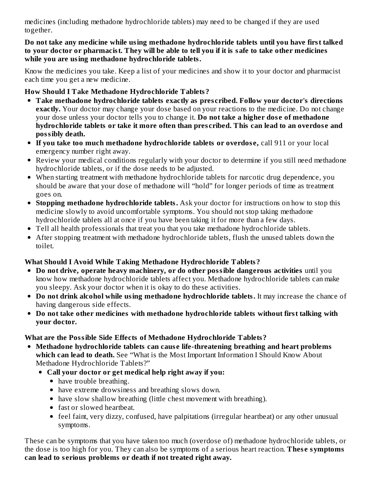medicines (including methadone hydrochloride tablets) may need to be changed if they are used together.

**Do not take any medicine while using methadone hydrochloride tablets until you have first talked** to your doctor or pharmacist. They will be able to tell you if it is safe to take other medicines **while you are using methadone hydrochloride tablets.**

Know the medicines you take. Keep a list of your medicines and show it to your doctor and pharmacist each time you get a new medicine.

## **How Should I Take Methadone Hydrochloride Tablets?**

- **Take methadone hydrochloride tablets exactly as pres cribed. Follow your doctor's directions exactly.** Your doctor may change your dose based on your reactions to the medicine. Do not change your dose unless your doctor tells you to change it. **Do not take a higher dos e of methadone hydrochloride tablets or take it more often than pres cribed. This can lead to an overdos e and possibly death.**
- **If you take too much methadone hydrochloride tablets or overdos e,** call 911 or your local emergency number right away.
- Review your medical conditions regularly with your doctor to determine if you still need methadone hydrochloride tablets, or if the dose needs to be adjusted.
- When starting treatment with methadone hydrochloride tablets for narcotic drug dependence, you should be aware that your dose of methadone will "hold" for longer periods of time as treatment goes on.
- **Stopping methadone hydrochloride tablets.** Ask your doctor for instructions on how to stop this medicine slowly to avoid uncomfortable symptoms. You should not stop taking methadone hydrochloride tablets all at once if you have been taking it for more than a few days.
- Tell all health professionals that treat you that you take methadone hydrochloride tablets.
- After stopping treatment with methadone hydrochloride tablets, flush the unused tablets down the toilet.

## **What Should I Avoid While Taking Methadone Hydrochloride Tablets?**

- **Do not drive, operate heavy machinery, or do other possible dangerous activities** until you know how methadone hydrochloride tablets affect you. Methadone hydrochloride tablets can make you sleepy. Ask your doctor when it is okay to do these activities.
- **Do not drink alcohol while using methadone hydrochloride tablets.** It may increase the chance of having dangerous side effects.
- **Do not take other medicines with methadone hydrochloride tablets without first talking with your doctor.**

## **What are the Possible Side Effects of Methadone Hydrochloride Tablets?**

- **Methadone hydrochloride tablets can caus e life-threatening breathing and heart problems which can lead to death.** See "What is the Most Important Information I Should Know About Methadone Hydrochloride Tablets?"
	- **Call your doctor or get medical help right away if you:**
		- have trouble breathing.
		- have extreme drowsiness and breathing slows down.
		- have slow shallow breathing (little chest movement with breathing).
		- fast or slowed heartbeat.
		- feel faint, very dizzy, confused, have palpitations (irregular heartbeat) or any other unusual symptoms.

These can be symptoms that you have taken too much (overdose of) methadone hydrochloride tablets, or the dose is too high for you. They can also be symptoms of a serious heart reaction. **Thes e symptoms can lead to s erious problems or death if not treated right away.**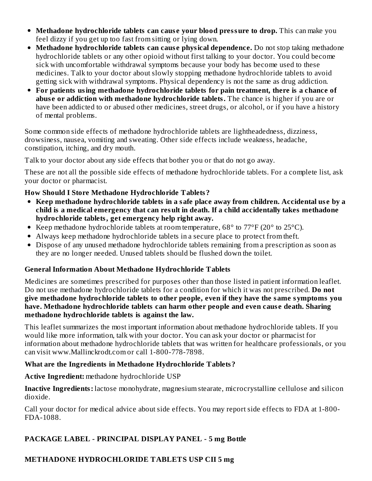- **Methadone hydrochloride tablets can caus e your blood pressure to drop.** This can make you feel dizzy if you get up too fast from sitting or lying down.
- **Methadone hydrochloride tablets can caus e physical dependence.** Do not stop taking methadone hydrochloride tablets or any other opioid without first talking to your doctor. You could become sick with uncomfortable withdrawal symptoms because your body has become used to these medicines. Talk to your doctor about slowly stopping methadone hydrochloride tablets to avoid getting sick with withdrawal symptoms. Physical dependency is not the same as drug addiction.
- **For patients using methadone hydrochloride tablets for pain treatment, there is a chance of abus e or addiction with methadone hydrochloride tablets.** The chance is higher if you are or have been addicted to or abused other medicines, street drugs, or alcohol, or if you have a history of mental problems.

Some common side effects of methadone hydrochloride tablets are lightheadedness, dizziness, drowsiness, nausea, vomiting and sweating. Other side effects include weakness, headache, constipation, itching, and dry mouth.

Talk to your doctor about any side effects that bother you or that do not go away.

These are not all the possible side effects of methadone hydrochloride tablets. For a complete list, ask your doctor or pharmacist.

## **How Should I Store Methadone Hydrochloride Tablets?**

- **Keep methadone hydrochloride tablets in a safe place away from children. Accidental us e by a child is a medical emergency that can result in death. If a child accidentally takes methadone hydrochloride tablets, get emergency help right away.**
- Keep methadone hydrochloride tablets at room temperature, 68° to 77°F (20° to 25°C).
- Always keep methadone hydrochloride tablets in a secure place to protect from theft.
- Dispose of any unused methadone hydrochloride tablets remaining from a prescription as soon as they are no longer needed. Unused tablets should be flushed down the toilet.

## **General Information About Methadone Hydrochloride Tablets**

Medicines are sometimes prescribed for purposes other than those listed in patient information leaflet. Do not use methadone hydrochloride tablets for a condition for which it was not prescribed. **Do not give methadone hydrochloride tablets to other people, even if they have the same symptoms you have. Methadone hydrochloride tablets can harm other people and even caus e death. Sharing methadone hydrochloride tablets is against the law.**

This leaflet summarizes the most important information about methadone hydrochloride tablets. If you would like more information, talk with your doctor. You can ask your doctor or pharmacist for information about methadone hydrochloride tablets that was written for healthcare professionals, or you can visit www.Mallinckrodt.com or call 1-800-778-7898.

## **What are the Ingredients in Methadone Hydrochloride Tablets?**

**Active Ingredient:** methadone hydrochloride USP

**Inactive Ingredients:** lactose monohydrate, magnesium stearate, microcrystalline cellulose and silicon dioxide.

Call your doctor for medical advice about side effects. You may report side effects to FDA at 1-800- FDA-1088.

## **PACKAGE LABEL - PRINCIPAL DISPLAY PANEL - 5 mg Bottle**

## **METHADONE HYDROCHLORIDE TABLETS USP CII 5 mg**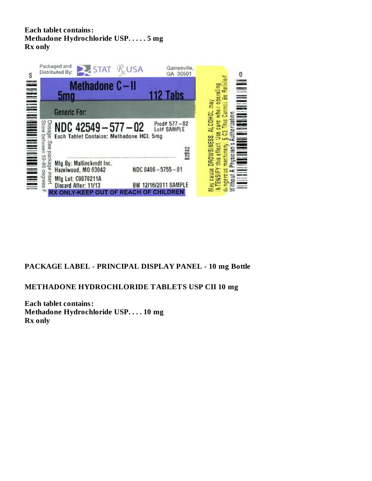#### **Each tablet contains: Methadone Hydrochloride USP. . . . . 5 mg Rx only**



### **PACKAGE LABEL - PRINCIPAL DISPLAY PANEL - 10 mg Bottle**

## **METHADONE HYDROCHLORIDE TABLETS USP CII 10 mg**

**Each tablet contains: Methadone Hydrochloride USP. . . . 10 mg Rx only**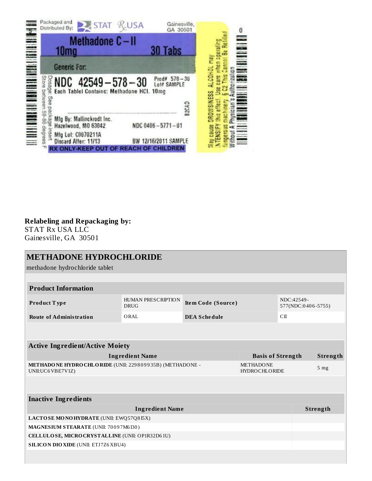

### **Relabeling and Repackaging by:**

STAT Rx USA LLC Gainesville, GA 30501

| <b>METHADONE HYDROCHLORIDE</b>                                                                                   |                                          |                     |  |                                  |          |  |
|------------------------------------------------------------------------------------------------------------------|------------------------------------------|---------------------|--|----------------------------------|----------|--|
| methadone hydrochloride tablet                                                                                   |                                          |                     |  |                                  |          |  |
|                                                                                                                  |                                          |                     |  |                                  |          |  |
| <b>Product Information</b>                                                                                       |                                          |                     |  |                                  |          |  |
| Product Type                                                                                                     | <b>HUMAN PRESCRIPTION</b><br><b>DRUG</b> | Item Code (Source)  |  | NDC:42549-<br>577(NDC:0406-5755) |          |  |
| <b>Route of Administration</b>                                                                                   | ORAL                                     | <b>DEA Schedule</b> |  | C <sub>II</sub>                  |          |  |
|                                                                                                                  |                                          |                     |  |                                  |          |  |
|                                                                                                                  | <b>Active Ingredient/Active Moiety</b>   |                     |  |                                  |          |  |
| <b>Ingredient Name</b><br><b>Basis of Strength</b>                                                               |                                          |                     |  |                                  | Strength |  |
| METHADONE HYDROCHLORIDE (UNII: 229809935B) (METHADONE -<br><b>METHADONE</b><br>HYDROCHLORIDE<br>UNII:UC6VBE7V1Z) |                                          |                     |  | 5 <sub>mg</sub>                  |          |  |
|                                                                                                                  |                                          |                     |  |                                  |          |  |
| <b>Inactive Ingredients</b>                                                                                      |                                          |                     |  |                                  |          |  |
| <b>Ingredient Name</b>                                                                                           |                                          |                     |  |                                  | Strength |  |
| LACTOSE MONOHYDRATE (UNII: EWQ57Q8I5X)                                                                           |                                          |                     |  |                                  |          |  |
| MAGNESIUM STEARATE (UNII: 70097M6I30)                                                                            |                                          |                     |  |                                  |          |  |
| CELLULOSE, MICRO CRYSTALLINE (UNII: OP1R32D61U)                                                                  |                                          |                     |  |                                  |          |  |
| <b>SILICON DIO XIDE (UNII: ETJ7Z6 XBU4)</b>                                                                      |                                          |                     |  |                                  |          |  |
|                                                                                                                  |                                          |                     |  |                                  |          |  |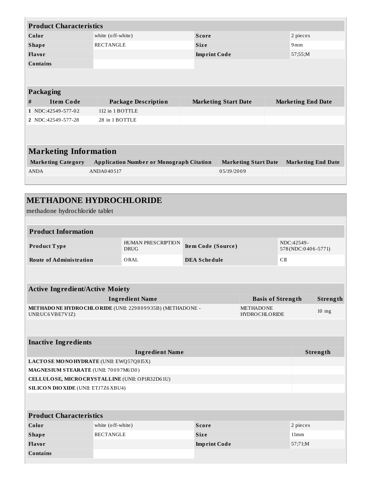| <b>Product Characteristics</b> |                                                 |                     |                             |  |                           |  |
|--------------------------------|-------------------------------------------------|---------------------|-----------------------------|--|---------------------------|--|
| Color                          | white (off-white)                               |                     | Score                       |  | 2 pieces                  |  |
| <b>Shape</b>                   | <b>RECTANGLE</b>                                | <b>Size</b>         |                             |  | 9mm                       |  |
| Flavor                         |                                                 | <b>Imprint Code</b> |                             |  | 57;55;M                   |  |
| <b>Contains</b>                |                                                 |                     |                             |  |                           |  |
|                                |                                                 |                     |                             |  |                           |  |
|                                |                                                 |                     |                             |  |                           |  |
| Packaging                      |                                                 |                     |                             |  |                           |  |
| <b>Item Code</b><br>#          | <b>Package Description</b>                      |                     | <b>Marketing Start Date</b> |  | <b>Marketing End Date</b> |  |
| 1 NDC:42549-577-02             | 112 in 1 BOTTLE                                 |                     |                             |  |                           |  |
| 2 NDC:42549-577-28             | 28 in 1 BOTTLE                                  |                     |                             |  |                           |  |
|                                |                                                 |                     |                             |  |                           |  |
|                                |                                                 |                     |                             |  |                           |  |
| <b>Marketing Information</b>   |                                                 |                     |                             |  |                           |  |
| <b>Marketing Category</b>      | <b>Application Number or Monograph Citation</b> |                     | <b>Marketing Start Date</b> |  | <b>Marketing End Date</b> |  |
| <b>ANDA</b>                    | ANDA040517                                      |                     | 05/19/2009                  |  |                           |  |
|                                |                                                 |                     |                             |  |                           |  |
|                                |                                                 |                     |                             |  |                           |  |
|                                | <b>METHADONE HYDROCHLORIDE</b>                  |                     |                             |  |                           |  |
| methadone hydrochloride tablet |                                                 |                     |                             |  |                           |  |
|                                |                                                 |                     |                             |  |                           |  |

### **Product Information**

| <b>Product Type</b>            | HUMAN PRESCRIPTION<br>DRUG | Item Code (Source)  | NDC:42549-<br>578(NDC:0406-5771) |
|--------------------------------|----------------------------|---------------------|----------------------------------|
| <b>Route of Administration</b> | ORAL.                      | <b>DEA Schedule</b> | CD                               |

| <b>Active Ingredient/Active Moiety</b>          |                                                            |                     |                                          |          |          |
|-------------------------------------------------|------------------------------------------------------------|---------------------|------------------------------------------|----------|----------|
| <b>Ingredient Name</b>                          |                                                            |                     | <b>Basis of Strength</b>                 |          | Strength |
| UNII: UC6 VBE7V1Z)                              | METHADO NE HYDRO CHLORIDE (UNII: 229809935B) (METHADO NE - |                     | <b>METHADONE</b><br><b>HYDROCHLORIDE</b> |          | $10$ mg  |
|                                                 |                                                            |                     |                                          |          |          |
| <b>Inactive Ingredients</b>                     |                                                            |                     |                                          |          |          |
| <b>Ingredient Name</b>                          |                                                            |                     |                                          | Strength |          |
|                                                 | LACTOSE MONOHYDRATE (UNII: EWQ57Q8I5X)                     |                     |                                          |          |          |
| MAGNESIUM STEARATE (UNII: 70097M6I30)           |                                                            |                     |                                          |          |          |
| CELLULOSE, MICRO CRYSTALLINE (UNII: OP1R32D61U) |                                                            |                     |                                          |          |          |
| <b>SILICON DIO XIDE (UNII: ETJ7Z6XBU4)</b>      |                                                            |                     |                                          |          |          |
|                                                 |                                                            |                     |                                          |          |          |
|                                                 |                                                            |                     |                                          |          |          |
| <b>Product Characteristics</b>                  |                                                            |                     |                                          |          |          |
| Color                                           | white (off-white)                                          | <b>Score</b>        |                                          | 2 pieces |          |
| <b>Shape</b>                                    | <b>RECTANGLE</b>                                           | <b>Size</b>         |                                          | 11mm     |          |
| Flavor                                          |                                                            | <b>Imprint Code</b> |                                          | 57;71;M  |          |
| <b>Contains</b>                                 |                                                            |                     |                                          |          |          |